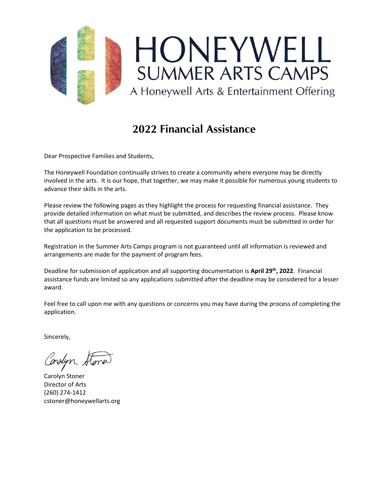

# **2022 Financial Assistance**

Dear Prospective Families and Students,

The Honeywell Foundation continually strives to create a community where everyone may be directly involved in the arts. It is our hope, that together, we may make it possible for numerous young students to advance their skills in the arts.

Please review the following pages as they highlight the process for requesting financial assistance. They provide detailed information on what must be submitted, and describes the review process. Please know that all questions must be answered and all requested support documents must be submitted in order for the application to be processed.

Registration in the Summer Arts Camps program is not guaranteed until all information is reviewed and arrangements are made for the payment of program fees.

Deadline for submission of application and all supporting documentation is **April 29th, 2022**. Financial assistance funds are limited so any applications submitted after the deadline may be considered for a lesser award.

Feel free to call upon me with any questions or concerns you may have during the process of completing the application.

Sincerely,

Conslyn

Carolyn Stoner Director of Arts (260) 274-1412 cstoner@honeywellarts.org